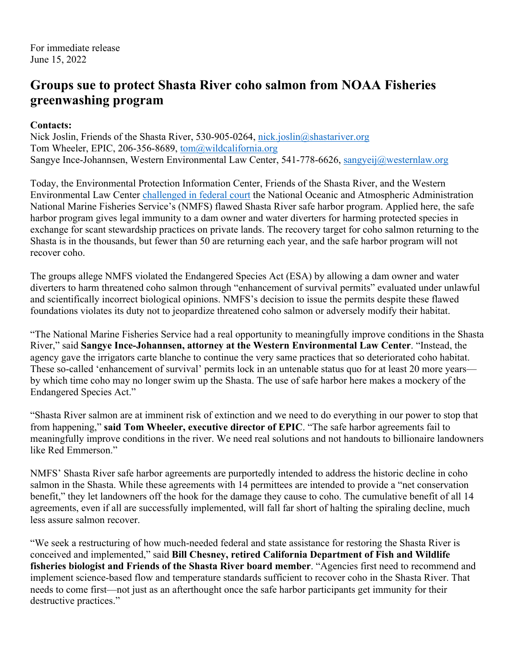## **Groups sue to protect Shasta River coho salmon from NOAA Fisheries greenwashing program**

## **Contacts:**

Nick Joslin, Friends of the Shasta River, 530-905-0264, nick.joslin@shastariver.org Tom Wheeler, EPIC, 206-356-8689, tom@wildcalifornia.org Sangye Ince-Johannsen, Western Environmental Law Center, 541-778-6626, sangyeij@westernlaw.org

Today, the Environmental Protection Information Center, Friends of the Shasta River, and the Western Environmental Law Center challenged in federal court the National Oceanic and Atmospheric Administration National Marine Fisheries Service's (NMFS) flawed Shasta River safe harbor program. Applied here, the safe harbor program gives legal immunity to a dam owner and water diverters for harming protected species in exchange for scant stewardship practices on private lands. The recovery target for coho salmon returning to the Shasta is in the thousands, but fewer than 50 are returning each year, and the safe harbor program will not recover coho.

The groups allege NMFS violated the Endangered Species Act (ESA) by allowing a dam owner and water diverters to harm threatened coho salmon through "enhancement of survival permits" evaluated under unlawful and scientifically incorrect biological opinions. NMFS's decision to issue the permits despite these flawed foundations violates its duty not to jeopardize threatened coho salmon or adversely modify their habitat.

"The National Marine Fisheries Service had a real opportunity to meaningfully improve conditions in the Shasta River," said **Sangye Ince-Johannsen, attorney at the Western Environmental Law Center**. "Instead, the agency gave the irrigators carte blanche to continue the very same practices that so deteriorated coho habitat. These so-called 'enhancement of survival' permits lock in an untenable status quo for at least 20 more years by which time coho may no longer swim up the Shasta. The use of safe harbor here makes a mockery of the Endangered Species Act."

"Shasta River salmon are at imminent risk of extinction and we need to do everything in our power to stop that from happening," **said Tom Wheeler, executive director of EPIC**. "The safe harbor agreements fail to meaningfully improve conditions in the river. We need real solutions and not handouts to billionaire landowners like Red Emmerson."

NMFS' Shasta River safe harbor agreements are purportedly intended to address the historic decline in coho salmon in the Shasta. While these agreements with 14 permittees are intended to provide a "net conservation benefit," they let landowners off the hook for the damage they cause to coho. The cumulative benefit of all 14 agreements, even if all are successfully implemented, will fall far short of halting the spiraling decline, much less assure salmon recover.

"We seek a restructuring of how much-needed federal and state assistance for restoring the Shasta River is conceived and implemented," said **Bill Chesney, retired California Department of Fish and Wildlife fisheries biologist and Friends of the Shasta River board member**. "Agencies first need to recommend and implement science-based flow and temperature standards sufficient to recover coho in the Shasta River. That needs to come first—not just as an afterthought once the safe harbor participants get immunity for their destructive practices."